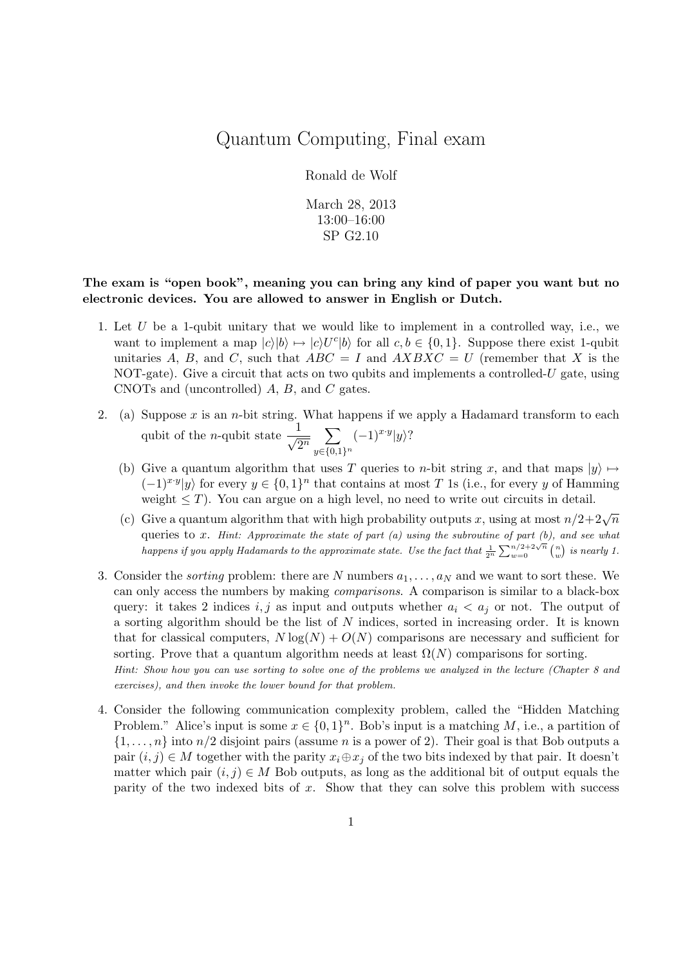## Quantum Computing, Final exam

## Ronald de Wolf

March 28, 2013 13:00–16:00 SP G2.10

## The exam is "open book", meaning you can bring any kind of paper you want but no electronic devices. You are allowed to answer in English or Dutch.

- 1. Let U be a 1-qubit unitary that we would like to implement in a controlled way, i.e., we want to implement a map  $|c\rangle|b\rangle \mapsto |c\rangle U^c|b\rangle$  for all  $c, b \in \{0, 1\}$ . Suppose there exist 1-qubit unitaries A, B, and C, such that  $ABC = I$  and  $AXBXC = U$  (remember that X is the NOT-gate). Give a circuit that acts on two qubits and implements a controlled-U gate, using CNOTs and (uncontrolled) A, B, and C gates.
- 2. (a) Suppose x is an n-bit string. What happens if we apply a Hadamard transform to each qubit of the *n*-qubit state  $-\frac{1}{6}$  $rac{1}{2^n}$   $\sum_{n \in \{0, 1\}}$  $y \in \{0,1\}^n$  $(-1)^{x \cdot y} |y\rangle?$ 
	- (b) Give a quantum algorithm that uses T queries to n-bit string x, and that maps  $|y\rangle \mapsto$  $(-1)^{x \cdot y} |y\rangle$  for every  $y \in \{0,1\}^n$  that contains at most T 1s (i.e., for every y of Hamming weight  $\leq T$ ). You can argue on a high level, no need to write out circuits in detail.
	- (c) Give a quantum algorithm that with high probability outputs x, using at most  $n/2+2\sqrt{n}$ queries to  $x$ . Hint: Approximate the state of part  $(a)$  using the subroutine of part  $(b)$ , and see what happens if you apply Hadamards to the approximate state. Use the fact that  $\frac{1}{2^n} \sum_{w=0}^{n/2+2\sqrt{n}} {n \choose w}$  is nearly 1.
- 3. Consider the *sorting* problem: there are N numbers  $a_1, \ldots, a_N$  and we want to sort these. We can only access the numbers by making comparisons. A comparison is similar to a black-box query: it takes 2 indices i, j as input and outputs whether  $a_i < a_j$  or not. The output of a sorting algorithm should be the list of N indices, sorted in increasing order. It is known that for classical computers,  $N \log(N) + O(N)$  comparisons are necessary and sufficient for sorting. Prove that a quantum algorithm needs at least  $\Omega(N)$  comparisons for sorting. Hint: Show how you can use sorting to solve one of the problems we analyzed in the lecture (Chapter 8 and exercises), and then invoke the lower bound for that problem.
- 4. Consider the following communication complexity problem, called the "Hidden Matching Problem." Alice's input is some  $x \in \{0,1\}^n$ . Bob's input is a matching M, i.e., a partition of  $\{1,\ldots,n\}$  into  $n/2$  disjoint pairs (assume n is a power of 2). Their goal is that Bob outputs a pair  $(i, j) \in M$  together with the parity  $x_i \oplus x_j$  of the two bits indexed by that pair. It doesn't matter which pair  $(i, j) \in M$  Bob outputs, as long as the additional bit of output equals the parity of the two indexed bits of x. Show that they can solve this problem with success